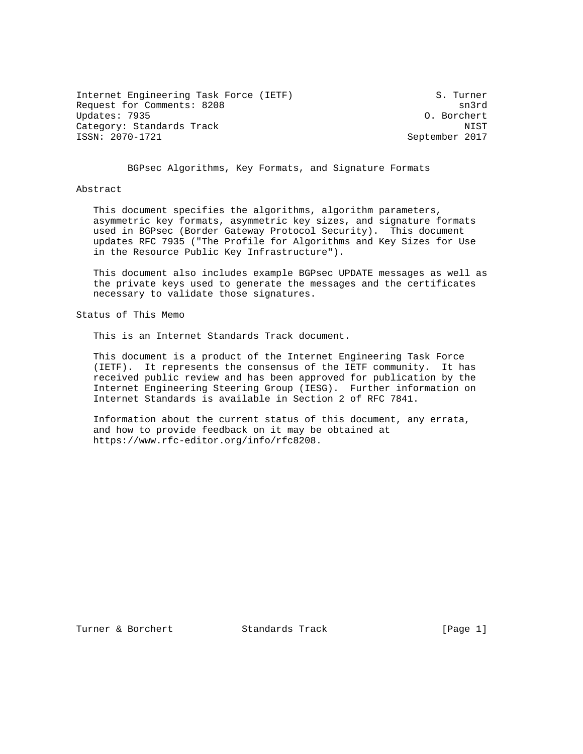Internet Engineering Task Force (IETF) S. Turner Request for Comments: 8208 sn3rd Updates: 7935 O. Borchert Category: Standards Track NIST ISSN: 2070-1721 September 2017

BGPsec Algorithms, Key Formats, and Signature Formats

### Abstract

 This document specifies the algorithms, algorithm parameters, asymmetric key formats, asymmetric key sizes, and signature formats used in BGPsec (Border Gateway Protocol Security). This document updates RFC 7935 ("The Profile for Algorithms and Key Sizes for Use in the Resource Public Key Infrastructure").

 This document also includes example BGPsec UPDATE messages as well as the private keys used to generate the messages and the certificates necessary to validate those signatures.

Status of This Memo

This is an Internet Standards Track document.

 This document is a product of the Internet Engineering Task Force (IETF). It represents the consensus of the IETF community. It has received public review and has been approved for publication by the Internet Engineering Steering Group (IESG). Further information on Internet Standards is available in Section 2 of RFC 7841.

 Information about the current status of this document, any errata, and how to provide feedback on it may be obtained at https://www.rfc-editor.org/info/rfc8208.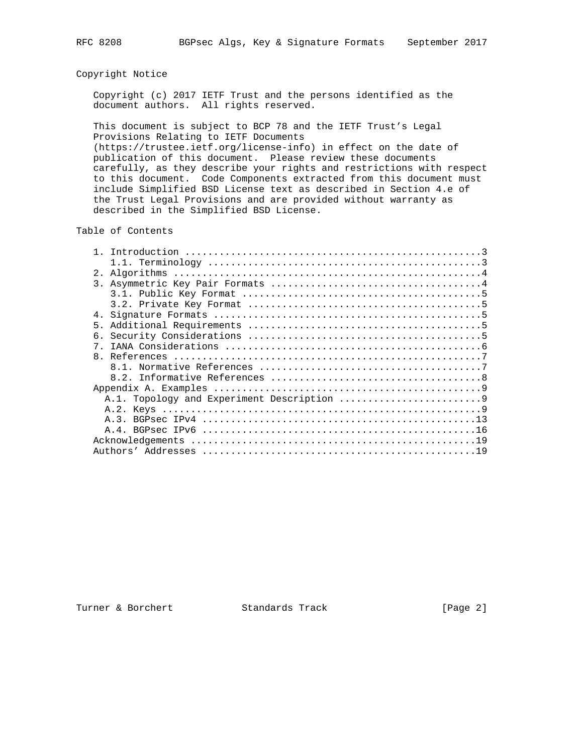## Copyright Notice

 Copyright (c) 2017 IETF Trust and the persons identified as the document authors. All rights reserved.

 This document is subject to BCP 78 and the IETF Trust's Legal Provisions Relating to IETF Documents (https://trustee.ietf.org/license-info) in effect on the date of publication of this document. Please review these documents carefully, as they describe your rights and restrictions with respect to this document. Code Components extracted from this document must include Simplified BSD License text as described in Section 4.e of the Trust Legal Provisions and are provided without warranty as

described in the Simplified BSD License.

Table of Contents

| 2.             |
|----------------|
|                |
|                |
|                |
| 4.             |
| 5.             |
| б.             |
| 7 <sub>1</sub> |
| $\mathsf{R}$   |
|                |
|                |
|                |
|                |
|                |
|                |
|                |
|                |
|                |

Turner & Borchert Standards Track [Page 2]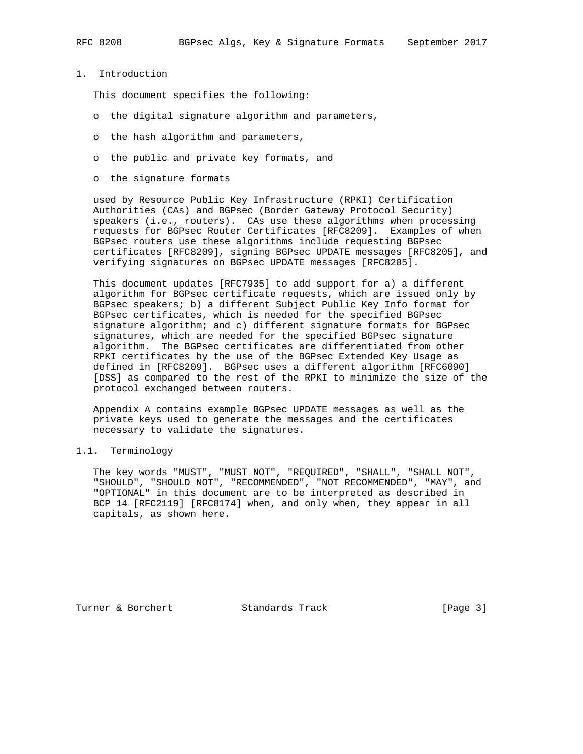1. Introduction

This document specifies the following:

- o the digital signature algorithm and parameters,
- o the hash algorithm and parameters,
- o the public and private key formats, and
- o the signature formats

 used by Resource Public Key Infrastructure (RPKI) Certification Authorities (CAs) and BGPsec (Border Gateway Protocol Security) speakers (i.e., routers). CAs use these algorithms when processing requests for BGPsec Router Certificates [RFC8209]. Examples of when BGPsec routers use these algorithms include requesting BGPsec certificates [RFC8209], signing BGPsec UPDATE messages [RFC8205], and verifying signatures on BGPsec UPDATE messages [RFC8205].

 This document updates [RFC7935] to add support for a) a different algorithm for BGPsec certificate requests, which are issued only by BGPsec speakers; b) a different Subject Public Key Info format for BGPsec certificates, which is needed for the specified BGPsec signature algorithm; and c) different signature formats for BGPsec signatures, which are needed for the specified BGPsec signature algorithm. The BGPsec certificates are differentiated from other RPKI certificates by the use of the BGPsec Extended Key Usage as defined in [RFC8209]. BGPsec uses a different algorithm [RFC6090] [DSS] as compared to the rest of the RPKI to minimize the size of the protocol exchanged between routers.

 Appendix A contains example BGPsec UPDATE messages as well as the private keys used to generate the messages and the certificates necessary to validate the signatures.

## 1.1. Terminology

 The key words "MUST", "MUST NOT", "REQUIRED", "SHALL", "SHALL NOT", "SHOULD", "SHOULD NOT", "RECOMMENDED", "NOT RECOMMENDED", "MAY", and "OPTIONAL" in this document are to be interpreted as described in BCP 14 [RFC2119] [RFC8174] when, and only when, they appear in all capitals, as shown here.

Turner & Borchert **Standards Track** [Page 3]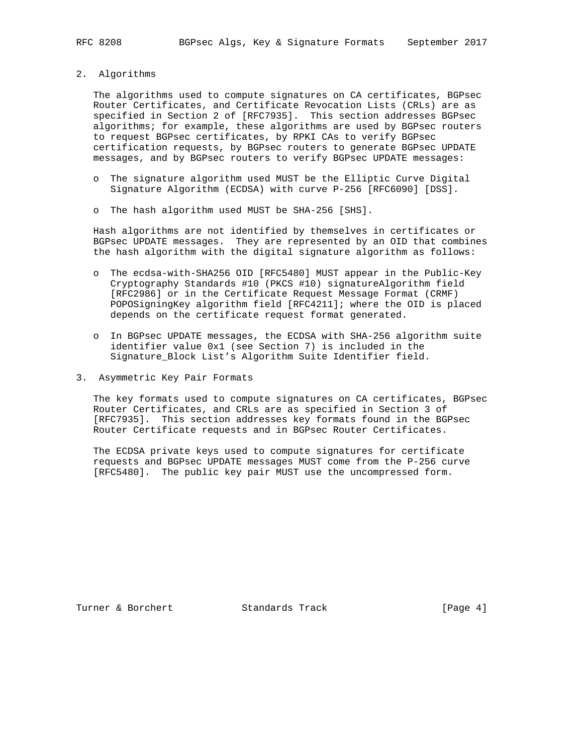2. Algorithms

 The algorithms used to compute signatures on CA certificates, BGPsec Router Certificates, and Certificate Revocation Lists (CRLs) are as specified in Section 2 of [RFC7935]. This section addresses BGPsec algorithms; for example, these algorithms are used by BGPsec routers to request BGPsec certificates, by RPKI CAs to verify BGPsec certification requests, by BGPsec routers to generate BGPsec UPDATE messages, and by BGPsec routers to verify BGPsec UPDATE messages:

- o The signature algorithm used MUST be the Elliptic Curve Digital Signature Algorithm (ECDSA) with curve P-256 [RFC6090] [DSS].
- o The hash algorithm used MUST be SHA-256 [SHS].

 Hash algorithms are not identified by themselves in certificates or BGPsec UPDATE messages. They are represented by an OID that combines the hash algorithm with the digital signature algorithm as follows:

- o The ecdsa-with-SHA256 OID [RFC5480] MUST appear in the Public-Key Cryptography Standards #10 (PKCS #10) signatureAlgorithm field [RFC2986] or in the Certificate Request Message Format (CRMF) POPOSigningKey algorithm field [RFC4211]; where the OID is placed depends on the certificate request format generated.
- o In BGPsec UPDATE messages, the ECDSA with SHA-256 algorithm suite identifier value 0x1 (see Section 7) is included in the Signature\_Block List's Algorithm Suite Identifier field.
- 3. Asymmetric Key Pair Formats

 The key formats used to compute signatures on CA certificates, BGPsec Router Certificates, and CRLs are as specified in Section 3 of [RFC7935]. This section addresses key formats found in the BGPsec Router Certificate requests and in BGPsec Router Certificates.

 The ECDSA private keys used to compute signatures for certificate requests and BGPsec UPDATE messages MUST come from the P-256 curve [RFC5480]. The public key pair MUST use the uncompressed form.

Turner & Borchert **Standards Track** [Page 4]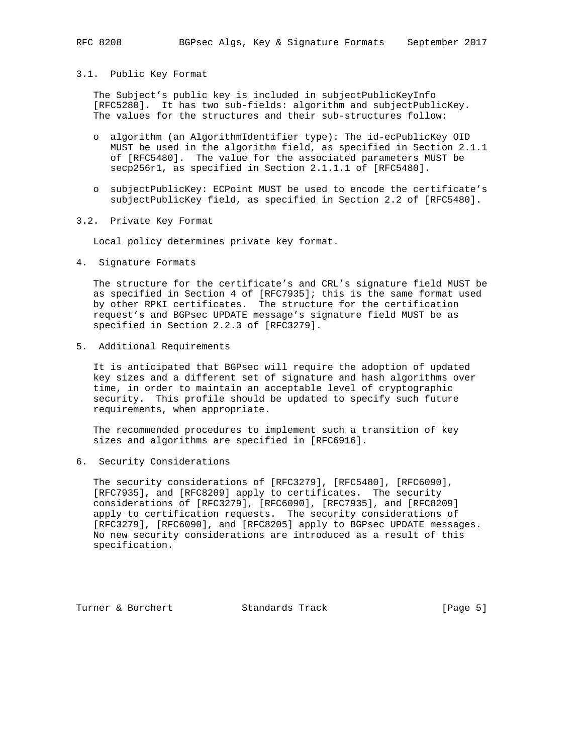### 3.1. Public Key Format

 The Subject's public key is included in subjectPublicKeyInfo [RFC5280]. It has two sub-fields: algorithm and subjectPublicKey. The values for the structures and their sub-structures follow:

- o algorithm (an AlgorithmIdentifier type): The id-ecPublicKey OID MUST be used in the algorithm field, as specified in Section 2.1.1 of [RFC5480]. The value for the associated parameters MUST be secp256r1, as specified in Section 2.1.1.1 of [RFC5480].
- o subjectPublicKey: ECPoint MUST be used to encode the certificate's subjectPublicKey field, as specified in Section 2.2 of [RFC5480].
- 3.2. Private Key Format

Local policy determines private key format.

4. Signature Formats

 The structure for the certificate's and CRL's signature field MUST be as specified in Section 4 of [RFC7935]; this is the same format used by other RPKI certificates. The structure for the certification request's and BGPsec UPDATE message's signature field MUST be as specified in Section 2.2.3 of [RFC3279].

5. Additional Requirements

 It is anticipated that BGPsec will require the adoption of updated key sizes and a different set of signature and hash algorithms over time, in order to maintain an acceptable level of cryptographic security. This profile should be updated to specify such future requirements, when appropriate.

 The recommended procedures to implement such a transition of key sizes and algorithms are specified in [RFC6916].

6. Security Considerations

 The security considerations of [RFC3279], [RFC5480], [RFC6090], [RFC7935], and [RFC8209] apply to certificates. The security considerations of [RFC3279], [RFC6090], [RFC7935], and [RFC8209] apply to certification requests. The security considerations of [RFC3279], [RFC6090], and [RFC8205] apply to BGPsec UPDATE messages. No new security considerations are introduced as a result of this specification.

Turner & Borchert **Standards Track** [Page 5]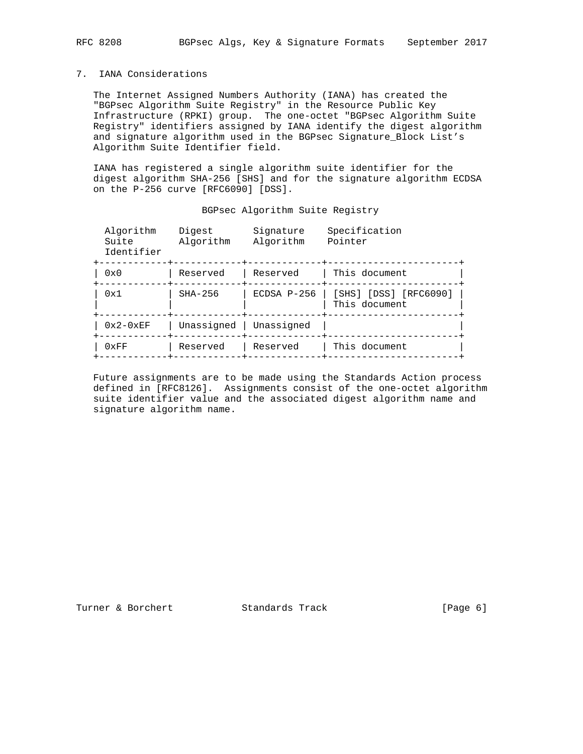## 7. IANA Considerations

 The Internet Assigned Numbers Authority (IANA) has created the "BGPsec Algorithm Suite Registry" in the Resource Public Key Infrastructure (RPKI) group. The one-octet "BGPsec Algorithm Suite Registry" identifiers assigned by IANA identify the digest algorithm and signature algorithm used in the BGPsec Signature\_Block List's Algorithm Suite Identifier field.

 IANA has registered a single algorithm suite identifier for the digest algorithm SHA-256 [SHS] and for the signature algorithm ECDSA on the P-256 curve [RFC6090] [DSS].

|  | BGPsec Algorithm Suite Registry |  |  |
|--|---------------------------------|--|--|
|--|---------------------------------|--|--|

| Algorithm<br>Suite<br>Identifier | Digest<br>Algorithm | Signature<br>Algorithm | Specification<br>Pointer               |  |
|----------------------------------|---------------------|------------------------|----------------------------------------|--|
| $0 \times 0$                     | Reserved            | Reserved               | This document                          |  |
| 0x1                              | $SHA-256$           | $ECDSA P-256$          | [SHS] [DSS] [RFC6090]<br>This document |  |
| $0x2-0xEF$                       | Unassigned          | Unassigned             |                                        |  |
| 0xFF                             | Reserved            | Reserved               | This document                          |  |
|                                  |                     |                        |                                        |  |

 Future assignments are to be made using the Standards Action process defined in [RFC8126]. Assignments consist of the one-octet algorithm suite identifier value and the associated digest algorithm name and signature algorithm name.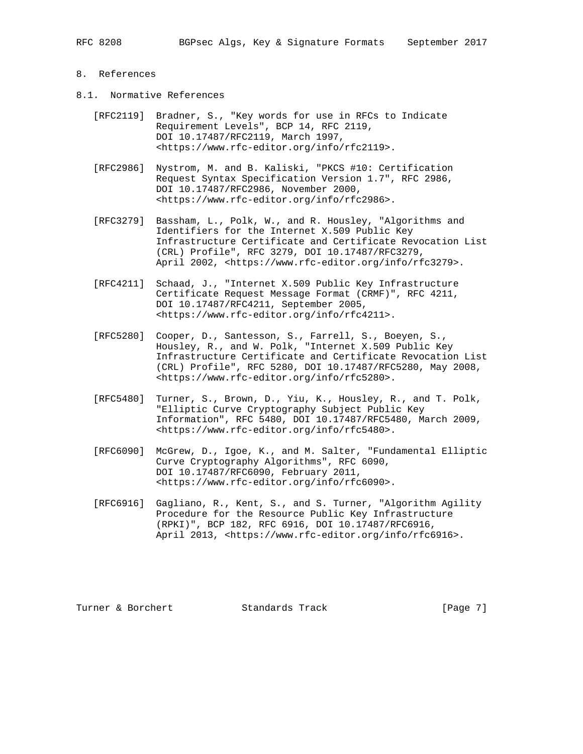## 8. References

- 8.1. Normative References
	- [RFC2119] Bradner, S., "Key words for use in RFCs to Indicate Requirement Levels", BCP 14, RFC 2119, DOI 10.17487/RFC2119, March 1997, <https://www.rfc-editor.org/info/rfc2119>.
	- [RFC2986] Nystrom, M. and B. Kaliski, "PKCS #10: Certification Request Syntax Specification Version 1.7", RFC 2986, DOI 10.17487/RFC2986, November 2000, <https://www.rfc-editor.org/info/rfc2986>.
	- [RFC3279] Bassham, L., Polk, W., and R. Housley, "Algorithms and Identifiers for the Internet X.509 Public Key Infrastructure Certificate and Certificate Revocation List (CRL) Profile", RFC 3279, DOI 10.17487/RFC3279, April 2002, <https://www.rfc-editor.org/info/rfc3279>.
	- [RFC4211] Schaad, J., "Internet X.509 Public Key Infrastructure Certificate Request Message Format (CRMF)", RFC 4211, DOI 10.17487/RFC4211, September 2005, <https://www.rfc-editor.org/info/rfc4211>.
- [RFC5280] Cooper, D., Santesson, S., Farrell, S., Boeyen, S., Housley, R., and W. Polk, "Internet X.509 Public Key Infrastructure Certificate and Certificate Revocation List (CRL) Profile", RFC 5280, DOI 10.17487/RFC5280, May 2008, <https://www.rfc-editor.org/info/rfc5280>.
	- [RFC5480] Turner, S., Brown, D., Yiu, K., Housley, R., and T. Polk, "Elliptic Curve Cryptography Subject Public Key Information", RFC 5480, DOI 10.17487/RFC5480, March 2009, <https://www.rfc-editor.org/info/rfc5480>.
	- [RFC6090] McGrew, D., Igoe, K., and M. Salter, "Fundamental Elliptic Curve Cryptography Algorithms", RFC 6090, DOI 10.17487/RFC6090, February 2011, <https://www.rfc-editor.org/info/rfc6090>.
	- [RFC6916] Gagliano, R., Kent, S., and S. Turner, "Algorithm Agility Procedure for the Resource Public Key Infrastructure (RPKI)", BCP 182, RFC 6916, DOI 10.17487/RFC6916, April 2013, <https://www.rfc-editor.org/info/rfc6916>.

Turner & Borchert **Standards Track** [Page 7]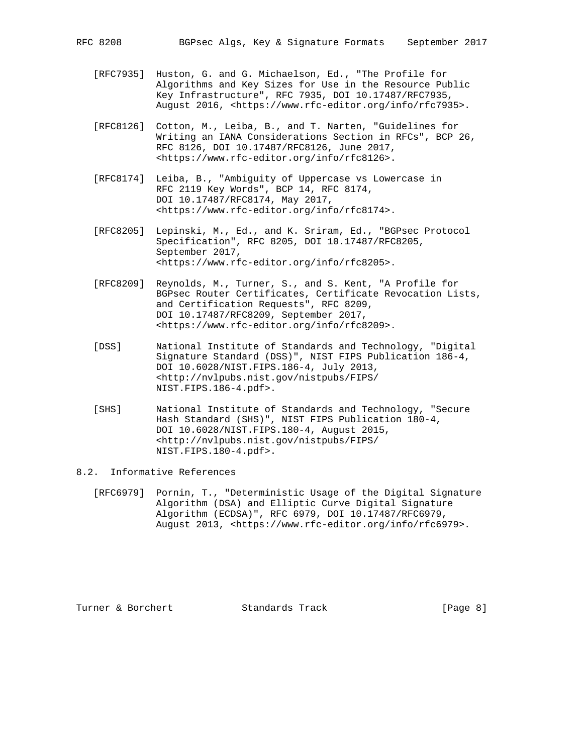- [RFC7935] Huston, G. and G. Michaelson, Ed., "The Profile for Algorithms and Key Sizes for Use in the Resource Public Key Infrastructure", RFC 7935, DOI 10.17487/RFC7935, August 2016, <https://www.rfc-editor.org/info/rfc7935>.
- [RFC8126] Cotton, M., Leiba, B., and T. Narten, "Guidelines for Writing an IANA Considerations Section in RFCs", BCP 26, RFC 8126, DOI 10.17487/RFC8126, June 2017, <https://www.rfc-editor.org/info/rfc8126>.
- [RFC8174] Leiba, B., "Ambiguity of Uppercase vs Lowercase in RFC 2119 Key Words", BCP 14, RFC 8174, DOI 10.17487/RFC8174, May 2017, <https://www.rfc-editor.org/info/rfc8174>.
- [RFC8205] Lepinski, M., Ed., and K. Sriram, Ed., "BGPsec Protocol Specification", RFC 8205, DOI 10.17487/RFC8205, September 2017, <https://www.rfc-editor.org/info/rfc8205>.
- [RFC8209] Reynolds, M., Turner, S., and S. Kent, "A Profile for BGPsec Router Certificates, Certificate Revocation Lists, and Certification Requests", RFC 8209, DOI 10.17487/RFC8209, September 2017, <https://www.rfc-editor.org/info/rfc8209>.
- [DSS] National Institute of Standards and Technology, "Digital Signature Standard (DSS)", NIST FIPS Publication 186-4, DOI 10.6028/NIST.FIPS.186-4, July 2013, <http://nvlpubs.nist.gov/nistpubs/FIPS/ NIST.FIPS.186-4.pdf>.
- [SHS] National Institute of Standards and Technology, "Secure Hash Standard (SHS)", NIST FIPS Publication 180-4, DOI 10.6028/NIST.FIPS.180-4, August 2015, <http://nvlpubs.nist.gov/nistpubs/FIPS/ NIST.FIPS.180-4.pdf>.

### 8.2. Informative References

 [RFC6979] Pornin, T., "Deterministic Usage of the Digital Signature Algorithm (DSA) and Elliptic Curve Digital Signature Algorithm (ECDSA)", RFC 6979, DOI 10.17487/RFC6979, August 2013, <https://www.rfc-editor.org/info/rfc6979>.

Turner & Borchert **Standards Track** [Page 8]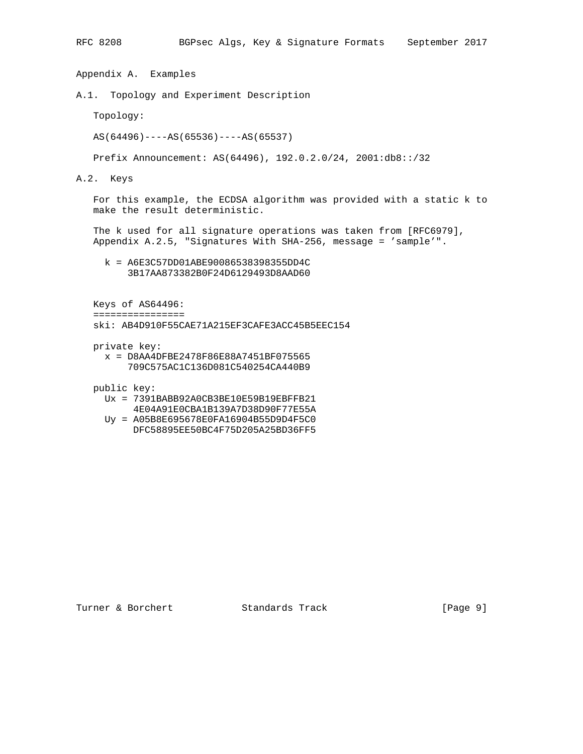Appendix A. Examples A.1. Topology and Experiment Description Topology: AS(64496)----AS(65536)----AS(65537) Prefix Announcement: AS(64496), 192.0.2.0/24, 2001:db8::/32 A.2. Keys For this example, the ECDSA algorithm was provided with a static k to make the result deterministic. The k used for all signature operations was taken from [RFC6979], Appendix A.2.5, "Signatures With SHA-256, message = 'sample'". k = A6E3C57DD01ABE90086538398355DD4C 3B17AA873382B0F24D6129493D8AAD60 Keys of AS64496: ================ ski: AB4D910F55CAE71A215EF3CAFE3ACC45B5EEC154 private key:

 x = D8AA4DFBE2478F86E88A7451BF075565 709C575AC1C136D081C540254CA440B9

public key:

- Ux = 7391BABB92A0CB3BE10E59B19EBFFB21
- 4E04A91E0CBA1B139A7D38D90F77E55A
- Uy = A05B8E695678E0FA16904B55D9D4F5C0 DFC58895EE50BC4F75D205A25BD36FF5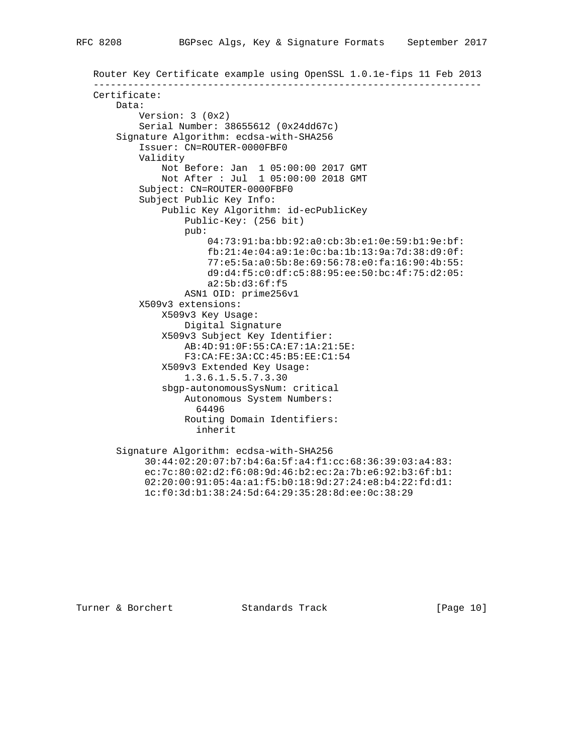```
 Router Key Certificate example using OpenSSL 1.0.1e-fips 11 Feb 2013
--------------------------------------------------------------------
Certificate:
   Data:
        Version: 3 (0x2)
        Serial Number: 38655612 (0x24dd67c)
    Signature Algorithm: ecdsa-with-SHA256
        Issuer: CN=ROUTER-0000FBF0
        Validity
            Not Before: Jan 1 05:00:00 2017 GMT
           Not After : Jul 1 05:00:00 2018 GMT
        Subject: CN=ROUTER-0000FBF0
        Subject Public Key Info:
            Public Key Algorithm: id-ecPublicKey
                Public-Key: (256 bit)
                pub:
                    04:73:91:ba:bb:92:a0:cb:3b:e1:0e:59:b1:9e:bf:
                    fb:21:4e:04:a9:1e:0c:ba:1b:13:9a:7d:38:d9:0f:
                    77:e5:5a:a0:5b:8e:69:56:78:e0:fa:16:90:4b:55:
                    d9:d4:f5:c0:df:c5:88:95:ee:50:bc:4f:75:d2:05:
                    a2:5b:d3:6f:f5
                ASN1 OID: prime256v1
        X509v3 extensions:
            X509v3 Key Usage:
                Digital Signature
            X509v3 Subject Key Identifier:
                AB:4D:91:0F:55:CA:E7:1A:21:5E:
                F3:CA:FE:3A:CC:45:B5:EE:C1:54
            X509v3 Extended Key Usage:
                1.3.6.1.5.5.7.3.30
            sbgp-autonomousSysNum: critical
                Autonomous System Numbers:
                  64496
                Routing Domain Identifiers:
                  inherit
    Signature Algorithm: ecdsa-with-SHA256
         30:44:02:20:07:b7:b4:6a:5f:a4:f1:cc:68:36:39:03:a4:83:
         ec:7c:80:02:d2:f6:08:9d:46:b2:ec:2a:7b:e6:92:b3:6f:b1:
         02:20:00:91:05:4a:a1:f5:b0:18:9d:27:24:e8:b4:22:fd:d1:
         1c:f0:3d:b1:38:24:5d:64:29:35:28:8d:ee:0c:38:29
```
Turner & Borchert Standards Track [Page 10]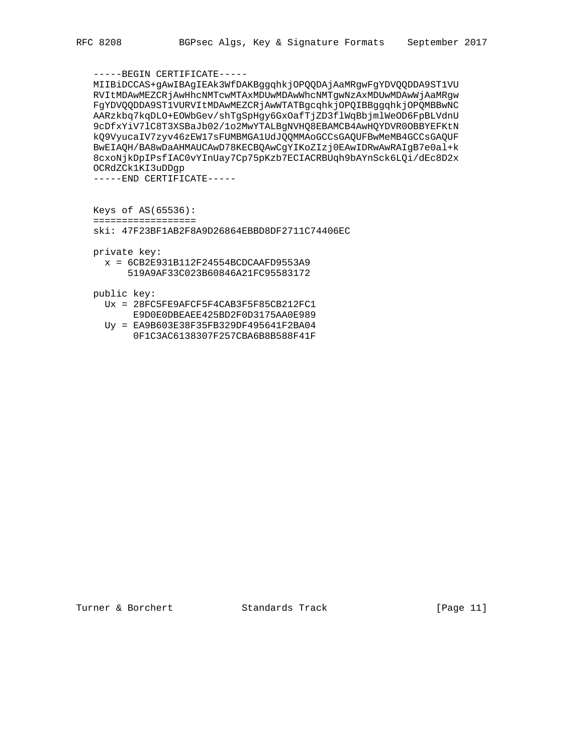# -----BEGIN CERTIFICATE-----

 MIIBiDCCAS+gAwIBAgIEAk3WfDAKBggqhkjOPQQDAjAaMRgwFgYDVQQDDA9ST1VU RVItMDAwMEZCRjAwHhcNMTcwMTAxMDUwMDAwWhcNMTgwNzAxMDUwMDAwWjAaMRgw FgYDVQQDDA9ST1VURVItMDAwMEZCRjAwWTATBgcqhkjOPQIBBggqhkjOPQMBBwNC AARzkbq7kqDLO+EOWbGev/shTgSpHgy6GxOafTjZD3flWqBbjmlWeOD6FpBLVdnU 9cDfxYiV7lC8T3XSBaJb02/1o2MwYTALBgNVHQ8EBAMCB4AwHQYDVR0OBBYEFKtN kQ9VyucaIV7zyv46zEW17sFUMBMGA1UdJQQMMAoGCCsGAQUFBwMeMB4GCCsGAQUF BwEIAQH/BA8wDaAHMAUCAwD78KECBQAwCgYIKoZIzj0EAwIDRwAwRAIgB7e0al+k 8cxoNjkDpIPsfIAC0vYInUay7Cp75pKzb7ECIACRBUqh9bAYnSck6LQi/dEc8D2x OCRdZCk1KI3uDDgp

-----END CERTIFICATE-----

Keys of AS(65536):

==================

ski: 47F23BF1AB2F8A9D26864EBBD8DF2711C74406EC

private key:

 x = 6CB2E931B112F24554BCDCAAFD9553A9 519A9AF33C023B60846A21FC95583172

public key:

- Ux = 28FC5FE9AFCF5F4CAB3F5F85CB212FC1 E9D0E0DBEAEE425BD2F0D3175AA0E989
- Uy = EA9B603E38F35FB329DF495641F2BA04 0F1C3AC6138307F257CBA6B8B588F41F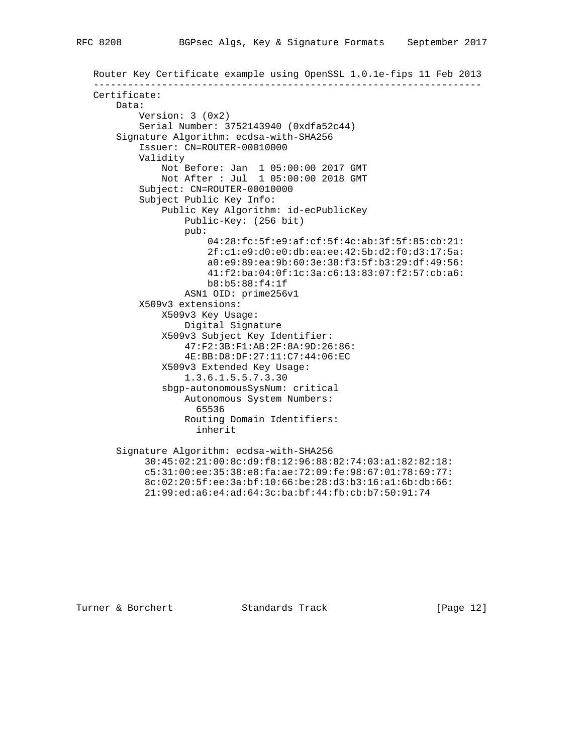```
 Router Key Certificate example using OpenSSL 1.0.1e-fips 11 Feb 2013
--------------------------------------------------------------------
Certificate:
   Data:
        Version: 3 (0x2)
        Serial Number: 3752143940 (0xdfa52c44)
    Signature Algorithm: ecdsa-with-SHA256
        Issuer: CN=ROUTER-00010000
        Validity
            Not Before: Jan 1 05:00:00 2017 GMT
           Not After : Jul 1 05:00:00 2018 GMT
        Subject: CN=ROUTER-00010000
        Subject Public Key Info:
            Public Key Algorithm: id-ecPublicKey
                Public-Key: (256 bit)
                pub:
                    04:28:fc:5f:e9:af:cf:5f:4c:ab:3f:5f:85:cb:21:
                    2f:c1:e9:d0:e0:db:ea:ee:42:5b:d2:f0:d3:17:5a:
                    a0:e9:89:ea:9b:60:3e:38:f3:5f:b3:29:df:49:56:
                    41:f2:ba:04:0f:1c:3a:c6:13:83:07:f2:57:cb:a6:
                    b8:b5:88:f4:1f
                ASN1 OID: prime256v1
        X509v3 extensions:
            X509v3 Key Usage:
                Digital Signature
            X509v3 Subject Key Identifier:
                47:F2:3B:F1:AB:2F:8A:9D:26:86:
                4E:BB:D8:DF:27:11:C7:44:06:EC
            X509v3 Extended Key Usage:
                1.3.6.1.5.5.7.3.30
            sbgp-autonomousSysNum: critical
                Autonomous System Numbers:
                  65536
                Routing Domain Identifiers:
                  inherit
    Signature Algorithm: ecdsa-with-SHA256
         30:45:02:21:00:8c:d9:f8:12:96:88:82:74:03:a1:82:82:18:
         c5:31:00:ee:35:38:e8:fa:ae:72:09:fe:98:67:01:78:69:77:
         8c:02:20:5f:ee:3a:bf:10:66:be:28:d3:b3:16:a1:6b:db:66:
         21:99:ed:a6:e4:ad:64:3c:ba:bf:44:fb:cb:b7:50:91:74
```
Turner & Borchert Standards Track [Page 12]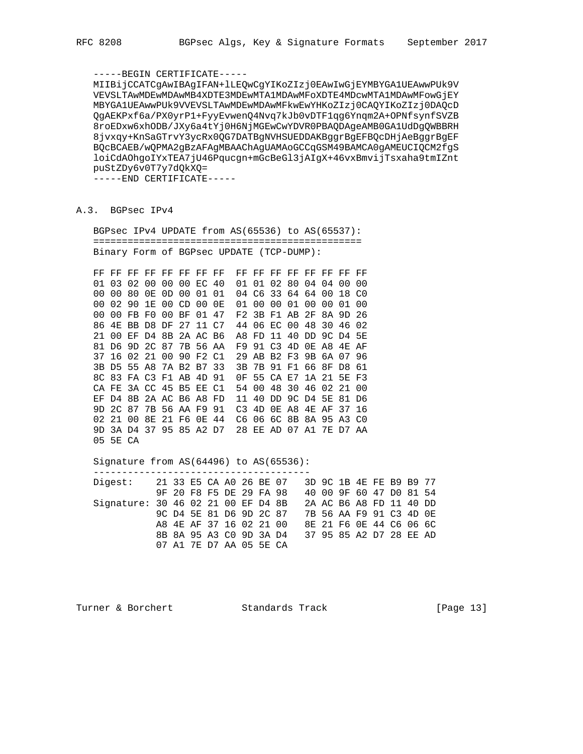# -----BEGIN CERTIFICATE-----

 MIIBijCCATCgAwIBAgIFAN+lLEQwCgYIKoZIzj0EAwIwGjEYMBYGA1UEAwwPUk9V VEVSLTAwMDEwMDAwMB4XDTE3MDEwMTA1MDAwMFoXDTE4MDcwMTA1MDAwMFowGjEY MBYGA1UEAwwPUk9VVEVSLTAwMDEwMDAwMFkwEwYHKoZIzj0CAQYIKoZIzj0DAQcD QgAEKPxf6a/PX0yrP1+FyyEvwenQ4Nvq7kJb0vDTF1qg6Ynqm2A+OPNfsynfSVZB 8roEDxw6xhODB/JXy6a4tYj0H6NjMGEwCwYDVR0PBAQDAgeAMB0GA1UdDgQWBBRH 8jvxqy+KnSaGTrvY3ycRx0QG7DATBgNVHSUEDDAKBggrBgEFBQcDHjAeBggrBgEF BQcBCAEB/wQPMA2gBzAFAgMBAAChAgUAMAoGCCqGSM49BAMCA0gAMEUCIQCM2fgS loiCdAOhgoIYxTEA7jU46Pqucgn+mGcBeGl3jAIgX+46vxBmvijTsxaha9tmIZnt puStZDy6v0T7y7dQkXQ=

-----END CERTIFICATE-----

# A.3. BGPsec IPv4

 BGPsec IPv4 UPDATE from AS(65536) to AS(65537): =============================================== Binary Form of BGPsec UPDATE (TCP-DUMP):

 FF FF FF FF FF FF FF FF FF FF FF FF FF FF FF FF 01 03 02 00 00 00 EC 40 01 01 02 80 04 04 00 00 00 00 80 0E 0D 00 01 01 04 C6 33 64 64 00 18 C0 00 02 90 1E 00 CD 00 0E 01 00 00 01 00 00 01 00 00 00 FB F0 00 BF 01 47 F2 3B F1 AB 2F 8A 9D 26 86 4E BB D8 DF 27 11 C7 44 06 EC 00 48 30 46 02 21 00 EF D4 8B 2A AC B6 A8 FD 11 40 DD 9C D4 5E 81 D6 9D 2C 87 7B 56 AA F9 91 C3 4D 0E A8 4E AF 37 16 02 21 00 90 F2 C1 29 AB B2 F3 9B 6A 07 96 3B D5 55 A8 7A B2 B7 33 3B 7B 91 F1 66 8F D8 61 8C 83 FA C3 F1 AB 4D 91 0F 55 CA E7 1A 21 5E F3 CA FE 3A CC 45 B5 EE C1 54 00 48 30 46 02 21 00 EF D4 8B 2A AC B6 A8 FD 11 40 DD 9C D4 5E 81 D6 9D 2C 87 7B 56 AA F9 91 C3 4D 0E A8 4E AF 37 16 02 21 00 8E 21 F6 0E 44 C6 06 6C 8B 8A 95 A3 C0 9D 3A D4 37 95 85 A2 D7 28 EE AD 07 A1 7E D7 AA 05 5E CA

 Signature from AS(64496) to AS(65536): --------------------------------------

 Digest: 21 33 E5 CA A0 26 BE 07 3D 9C 1B 4E FE B9 B9 77 9F 20 F8 F5 DE 29 FA 98 40 00 9F 60 47 D0 81 54 Signature: 30 46 02 21 00 EF D4 8B 2A AC B6 A8 FD 11 40 DD 9C D4 5E 81 D6 9D 2C 87 7B 56 AA F9 91 C3 4D 0E A8 4E AF 37 16 02 21 00 8E 21 F6 0E 44 C6 06 6C 8B 8A 95 A3 C0 9D 3A D4 37 95 85 A2 D7 28 EE AD 07 A1 7E D7 AA 05 5E CA

Turner & Borchert Standards Track [Page 13]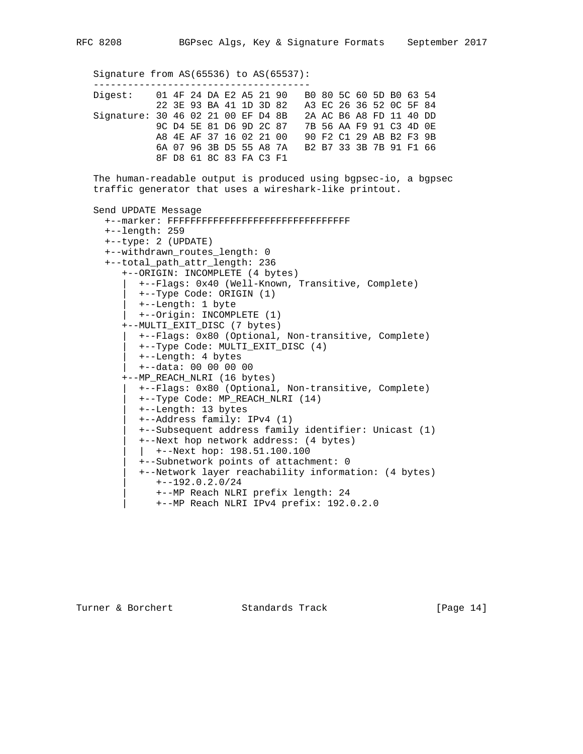Signature from AS(65536) to AS(65537): -------------------------------------- Digest: 01 4F 24 DA E2 A5 21 90 B0 80 5C 60 5D B0 63 54 22 3E 93 BA 41 1D 3D 82 A3 EC 26 36 52 0C 5F 84 Signature: 30 46 02 21 00 EF D4 8B 2A AC B6 A8 FD 11 40 DD 9C D4 5E 81 D6 9D 2C 87 7B 56 AA F9 91 C3 4D 0E A8 4E AF 37 16 02 21 00 90 F2 C1 29 AB B2 F3 9B 6A 07 96 3B D5 55 A8 7A B2 B7 33 3B 7B 91 F1 66 8F D8 61 8C 83 FA C3 F1 The human-readable output is produced using bgpsec-io, a bgpsec traffic generator that uses a wireshark-like printout. Send UPDATE Message +--marker: FFFFFFFFFFFFFFFFFFFFFFFFFFFFFFFF +--length: 259 +--type: 2 (UPDATE) +--withdrawn\_routes\_length: 0 +--total\_path\_attr\_length: 236 +--ORIGIN: INCOMPLETE (4 bytes) | +--Flags: 0x40 (Well-Known, Transitive, Complete) | +--Type Code: ORIGIN (1) | +--Length: 1 byte | +--Origin: INCOMPLETE (1) +--MULTI\_EXIT\_DISC (7 bytes) | +--Flags: 0x80 (Optional, Non-transitive, Complete) | +--Type Code: MULTI\_EXIT\_DISC (4) | +--Length: 4 bytes | +--data: 00 00 00 00 +--MP\_REACH\_NLRI (16 bytes) | +--Flags: 0x80 (Optional, Non-transitive, Complete) | +--Type Code: MP\_REACH\_NLRI (14) | +--Length: 13 bytes | +--Address family: IPv4 (1) | +--Subsequent address family identifier: Unicast (1) | +--Next hop network address: (4 bytes) | | +--Next hop: 198.51.100.100 | +--Subnetwork points of attachment: 0 | +--Network layer reachability information: (4 bytes) | +--192.0.2.0/24 | +--MP Reach NLRI prefix length: 24 | +--MP Reach NLRI IPv4 prefix: 192.0.2.0

Turner & Borchert Standards Track [Page 14]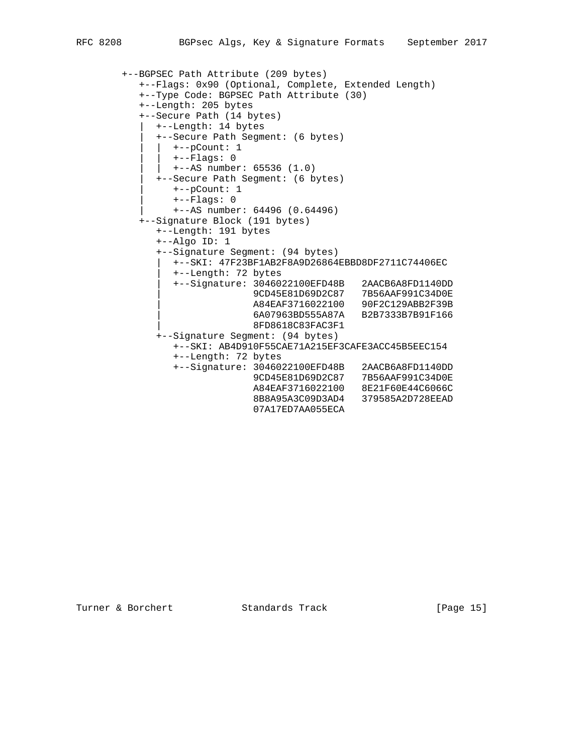```
 +--BGPSEC Path Attribute (209 bytes)
   +--Flags: 0x90 (Optional, Complete, Extended Length)
   +--Type Code: BGPSEC Path Attribute (30)
   +--Length: 205 bytes
   +--Secure Path (14 bytes)
     | +--Length: 14 bytes
     | +--Secure Path Segment: (6 bytes)
       | | +--pCount: 1
       | | +--Flags: 0
     | +--AS number: 65536 (1.0) | +--Secure Path Segment: (6 bytes)
        | +--pCount: 1
         | +--Flags: 0
         | +--AS number: 64496 (0.64496)
   +--Signature Block (191 bytes)
      +--Length: 191 bytes
      +--Algo ID: 1
      +--Signature Segment: (94 bytes)
        | +--SKI: 47F23BF1AB2F8A9D26864EBBD8DF2711C74406EC
         | +--Length: 72 bytes
         | +--Signature: 3046022100EFD48B 2AACB6A8FD1140DD
                       | 9CD45E81D69D2C87 7B56AAF991C34D0E
                       | A84EAF3716022100 90F2C129ABB2F39B
                       | 6A07963BD555A87A B2B7333B7B91F166
                       | 8FD8618C83FAC3F1
      +--Signature Segment: (94 bytes)
         +--SKI: AB4D910F55CAE71A215EF3CAFE3ACC45B5EEC154
```

```
 +--Length: 72 bytes
+--Signature: 3046022100EFD48B 2AACB6A8FD1140DD
9CD45E81D69D2C87 7B56AAF991C34D0E
                        A84EAF3716022100 8E21F60E44C6066C
                        8B8A95A3C09D3AD4 379585A2D728EEAD
                        07A17ED7AA055ECA
```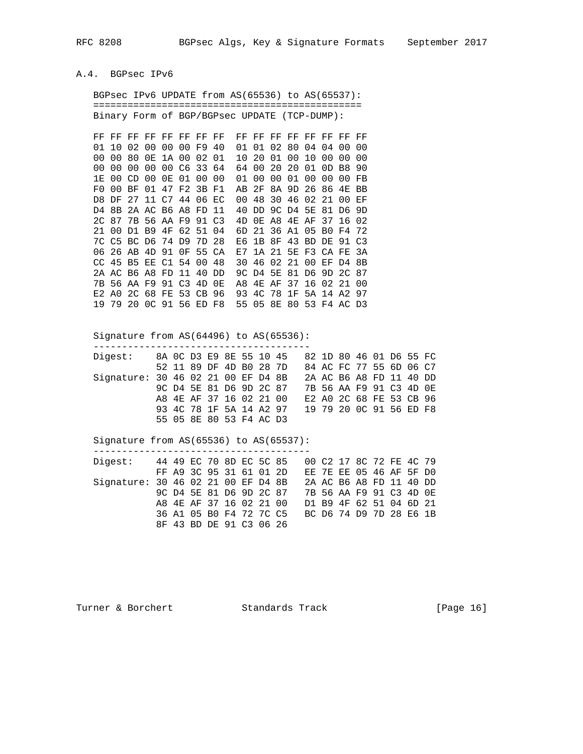## A.4. BGPsec IPv6

 BGPsec IPv6 UPDATE from AS(65536) to AS(65537): =============================================== Binary Form of BGP/BGPsec UPDATE (TCP-DUMP):

 FF FF FF FF FF FF FF FF FF FF FF FF FF FF FF FF 01 10 02 00 00 00 F9 40 01 01 02 80 04 04 00 00 00 00 80 0E 1A 00 02 01 10 20 01 00 10 00 00 00 00 00 00 00 00 C6 33 64 64 00 20 20 01 0D B8 90 1E 00 CD 00 0E 01 00 00 01 00 00 01 00 00 00 FB F0 00 BF 01 47 F2 3B F1 AB 2F 8A 9D 26 86 4E BB D8 DF 27 11 C7 44 06 EC 00 48 30 46 02 21 00 EF D4 8B 2A AC B6 A8 FD 11 40 DD 9C D4 5E 81 D6 9D 2C 87 7B 56 AA F9 91 C3 4D 0E A8 4E AF 37 16 02 21 00 D1 B9 4F 62 51 04 6D 21 36 A1 05 B0 F4 72 7C C5 BC D6 74 D9 7D 28 E6 1B 8F 43 BD DE 91 C3 06 26 AB 4D 91 0F 55 CA E7 1A 21 5E F3 CA FE 3A CC 45 B5 EE C1 54 00 48 30 46 02 21 00 EF D4 8B 2A AC B6 A8 FD 11 40 DD 9C D4 5E 81 D6 9D 2C 87 7B 56 AA F9 91 C3 4D 0E A8 4E AF 37 16 02 21 00 E2 A0 2C 68 FE 53 CB 96 93 4C 78 1F 5A 14 A2 97 19 79 20 0C 91 56 ED F8 55 05 8E 80 53 F4 AC D3

Signature from AS(64496) to AS(65536):

--------------------------------------

| Digest:                            |  |  |                         |  | 8A OC D3 E9 8E 55 10 45 82 1D 80 46 01 D6 55 FC |  |  |  |                         |  |
|------------------------------------|--|--|-------------------------|--|-------------------------------------------------|--|--|--|-------------------------|--|
|                                    |  |  | 52 11 89 DF 4D BO 28 7D |  |                                                 |  |  |  | 84 AC FC 77 55 6D 06 C7 |  |
| Signature: 30 46 02 21 00 EF D4 8B |  |  |                         |  |                                                 |  |  |  | 2A AC B6 A8 FD 11 40 DD |  |
|                                    |  |  |                         |  | 9C D4 5E 81 D6 9D 2C 87                         |  |  |  | 7B 56 AA F9 91 C3 4D OE |  |
|                                    |  |  | A8 4E AF 37 16 02 21 00 |  |                                                 |  |  |  | E2 A0 2C 68 FE 53 CB 96 |  |
|                                    |  |  |                         |  | 93 4C 78 1F 5A 14 A2 97                         |  |  |  | 19 79 20 0C 91 56 ED F8 |  |
|                                    |  |  | 55 05 8E 80 53 F4 AC D3 |  |                                                 |  |  |  |                         |  |

### Signature from AS(65536) to AS(65537):

| Digest: 44 49 EC 70 8D EC 5C 85    |  |                         |  |  |                         | 00 C2 17 8C 72 FE 4C 79 |  |  |  |
|------------------------------------|--|-------------------------|--|--|-------------------------|-------------------------|--|--|--|
|                                    |  | FF A9 3C 95 31 61 01 2D |  |  |                         | EE 7E EE 05 46 AF 5F DO |  |  |  |
| Signature: 30 46 02 21 00 EF D4 8B |  |                         |  |  |                         | 2A AC B6 A8 FD 11 40 DD |  |  |  |
|                                    |  |                         |  |  | 9C D4 5E 81 D6 9D 2C 87 | 7B 56 AA F9 91 C3 4D OE |  |  |  |
|                                    |  | A8 4E AF 37 16 02 21 00 |  |  |                         | D1 B9 4F 62 51 04 6D 21 |  |  |  |
|                                    |  | 36 A1 05 B0 F4 72 7C C5 |  |  |                         | BC D6 74 D9 7D 28 E6 1B |  |  |  |
|                                    |  | 8F 43 BD DE 91 C3 06 26 |  |  |                         |                         |  |  |  |

Turner & Borchert Standards Track [Page 16]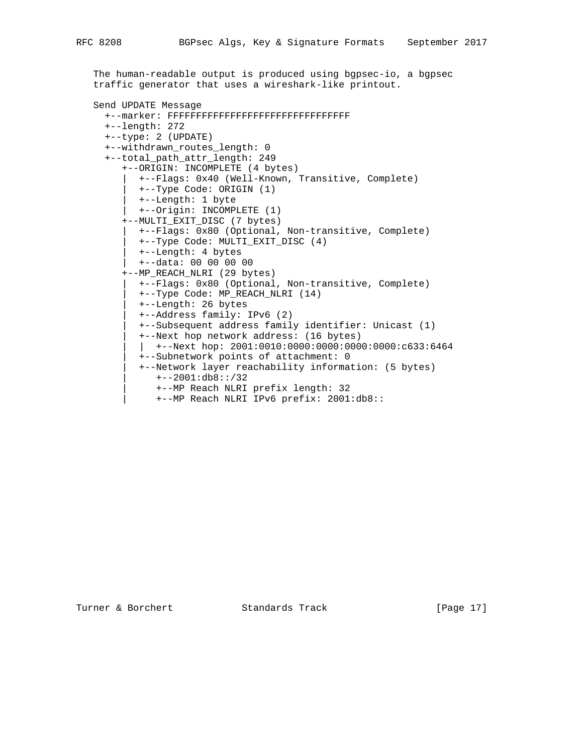```
 The human-readable output is produced using bgpsec-io, a bgpsec
traffic generator that uses a wireshark-like printout.
Send UPDATE Message
  +--marker: FFFFFFFFFFFFFFFFFFFFFFFFFFFFFFFF
  +--length: 272
 +--type: 2 (UPDATE)
  +--withdrawn_routes_length: 0
  +--total_path_attr_length: 249
     +--ORIGIN: INCOMPLETE (4 bytes)
       | +--Flags: 0x40 (Well-Known, Transitive, Complete)
        | +--Type Code: ORIGIN (1)
        | +--Length: 1 byte
        | +--Origin: INCOMPLETE (1)
     +--MULTI_EXIT_DISC (7 bytes)
       | +--Flags: 0x80 (Optional, Non-transitive, Complete)
        | +--Type Code: MULTI_EXIT_DISC (4)
        | +--Length: 4 bytes
        | +--data: 00 00 00 00
     +--MP_REACH_NLRI (29 bytes)
        | +--Flags: 0x80 (Optional, Non-transitive, Complete)
        | +--Type Code: MP_REACH_NLRI (14)
        | +--Length: 26 bytes
        | +--Address family: IPv6 (2)
        | +--Subsequent address family identifier: Unicast (1)
        | +--Next hop network address: (16 bytes)
       | +--{\tt Next hop: } 2001:0010:0000:0000:0000:0000:c633:6464 | +--Subnetwork points of attachment: 0
        | +--Network layer reachability information: (5 bytes)
           | +--2001:db8::/32
           | +--MP Reach NLRI prefix length: 32
           | +--MP Reach NLRI IPv6 prefix: 2001:db8::
```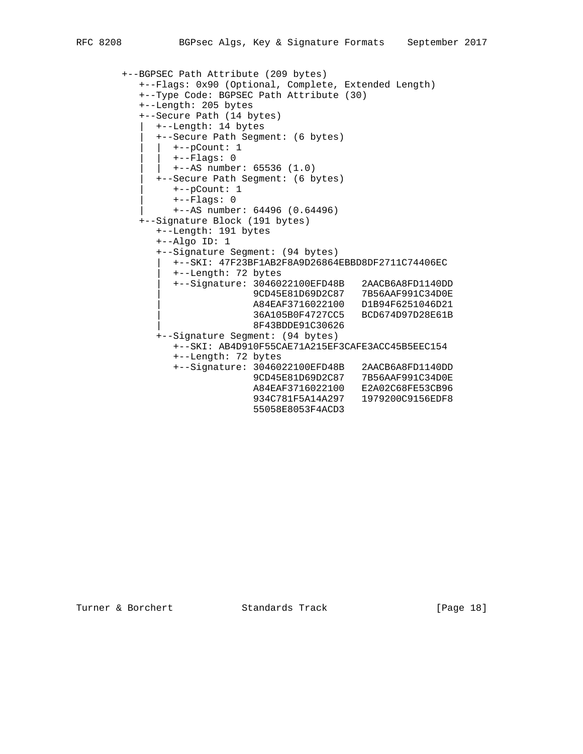```
 +--BGPSEC Path Attribute (209 bytes)
   +--Flags: 0x90 (Optional, Complete, Extended Length)
   +--Type Code: BGPSEC Path Attribute (30)
   +--Length: 205 bytes
   +--Secure Path (14 bytes)
     | +--Length: 14 bytes
     | +--Secure Path Segment: (6 bytes)
       | | +--pCount: 1
       | | +--Flags: 0
     | +--AS number: 65536 (1.0) | +--Secure Path Segment: (6 bytes)
        | +--pCount: 1
         | +--Flags: 0
         | +--AS number: 64496 (0.64496)
   +--Signature Block (191 bytes)
      +--Length: 191 bytes
      +--Algo ID: 1
      +--Signature Segment: (94 bytes)
        | +--SKI: 47F23BF1AB2F8A9D26864EBBD8DF2711C74406EC
         | +--Length: 72 bytes
        | +--Signature: 3046022100EFD48B 2AACB6A8FD1140DD
                       | 9CD45E81D69D2C87 7B56AAF991C34D0E
                       | A84EAF3716022100 D1B94F6251046D21
                       | 36A105B0F4727CC5 BCD674D97D28E61B
                       | 8F43BDDE91C30626
      +--Signature Segment: (94 bytes)
         +--SKI: AB4D910F55CAE71A215EF3CAFE3ACC45B5EEC154
         +--Length: 72 bytes
```

```
 +--Signature: 3046022100EFD48B 2AACB6A8FD1140DD
9CD45E81D69D2C87 7B56AAF991C34D0E
                       A84EAF3716022100 E2A02C68FE53CB96
                       934C781F5A14A297 1979200C9156EDF8
                       55058E8053F4ACD3
```
Turner & Borchert Standards Track [Page 18]